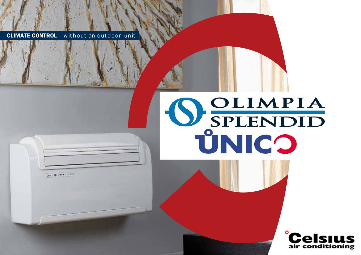

Dec: 0 1999 - 112

# SPLENDID ŮNICO

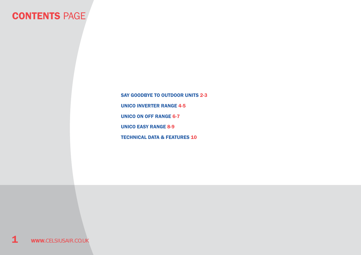### **CONTENTS PAGE**

unico inverter range 4-5 unico on off range 6-7 unico easy range 8-9 technical data & FEATURES 10 SAY GOODBYE TO OUTDOOR UNITS 2-3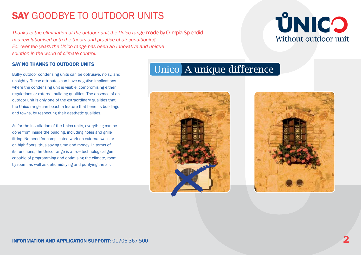## **SAY GOODBYE TO OUTDOOR UNITS**

*Thanks to the elimination of the outdoor unit the Unico range made by Olimpia Splendid has revolutionised both the theory and practice of air conditioning. For over ten years the Unico range has been an innovative and unique solution in the world of climate control.*

### SAY NO THANKS TO OUTDOOR UNITS

Bulky outdoor condensing units can be obtrusive, noisy, and unsightly. These attributes can have negative implications where the condensing unit is visible, compromising either regulations or external building qualities. The absence of an outdoor unit is only one of the extraordinary qualities that the Unico range can boast, a feature that benefits buildings and towns, by respecting their aesthetic qualities.

As for the installation of the Unico units, everything can be done from inside the building, including holes and grille fitting. No need for complicated work on external walls or on high floors, thus saving time and money. In terms of its functions, the Unico range is a true technological gem, capable of programming and optimising the climate, room by room, as well as dehumidifying and purifying the air.

### Unico A unique difference





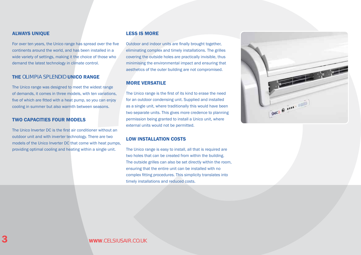### ALWAYS UNIQUE

For over ten years, the Unico range has spread over the five continents around the world, and has been installed in a wide variety of settings, making it the choice of those who demand the latest technology in climate control.

### THE OLIMPIA SPI FNDID UNICO RANGE

The Unico range was designed to meet the widest range of demands, it comes in three models, with ten variations, five of which are fitted with a heat pump, so you can enjoy cooling in summer but also warmth between seasons.

### two CAPACITIES four MODELS

The Unico Inverter DC is the first air conditioner without an outdoor unit and with inverter technology. There are two models of the Unico Inverter DC that come with heat pumps, providing optimal cooling and heating within a single unit.

### less is more

Outdoor and indoor units are finally brought together, eliminating complex and timely installations. The grilles covering the outside holes are practically invisible, thus minimising the environmental impact and ensuring that aesthetics of the outer building are not compromised.

### MORE VERSATILE

The Unico range is the first of its kind to erase the need for an outdoor condensing unit. Supplied and installed as a single unit, where traditionally this would have been two separate units. This gives more credence to planning permission being granted to install a Unico unit, where external units would not be permitted.

### LOW INSTALLATION COSTS

The Unico range is easy to install, all that is required are two holes that can be created from within the building. The outside grilles can also be set directly within the room, ensuring that the entire unit can be installed with no complex fitting procedures. This simplicity translates into timely installations and reduced costs.

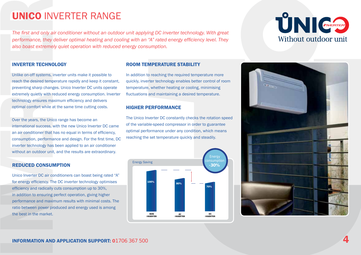# unico inverter RANGE

*The first and only air conditioner without an outdoor unit applying DC inverter technology. With great performance, they deliver optimal heating and cooling with an "A" rated energy efficiency level. They also boast extremely quiet operation with reduced energy consumption.*

# UNI GERER Without outdoor unit

### INVERTER TECHNOLOGY

Unlike on-off systems, inverter units make it possible to reach the desired temperature rapidly and keep it constant, preventing sharp changes. Unico Inverter DC units operate extremely quietly with reduced energy consumption. Inverter technology ensures maximum efficiency and delivers optimal comfort while at the same time cutting costs.

Over the years, the Unico range has become an international success, with the new Unico Inverter DC came an air conditioner that has no equal in terms of efficiency, consumption, performance and design. For the first time, DC inverter technology has been applied to an air conditioner without an outdoor unit, and the results are extraordinary.

### REDUCED CONSUMPTION

**INVERTER TECHNOM**<br>The first and only a<br>performance, they<br>also boast extreme<br>INVERTER TECHNO<br>Unlike on-off systems,<br>reach the desired temp<br>preventing sharp chang<br>extremely quietly with r<br>technology ensures may<br>optimal comf Unico Inverter DC air conditioners can boast being rated "A" for energy efficiency. The DC inverter technology optimises efficiency and radically cuts consumption up to 30%, in addition to ensuring perfect operation, giving higher performance and maximum results with minimal costs. The ratio between power produced and energy used is among the best in the market.

### ROOM TEMPERATURE STABILITY

In addition to reaching the required temperature more quickly, inverter technology enables better control of room temperature, whether heating or cooling, minimising fluctuations and maintaining a desired temperature.

### HIGHER PERFORMANCE

The Unico Inverter DC constantly checks the rotation speed of the variable-speed compressor in order to guarantee optimal performance under any condition, which means reaching the set temperature quickly and steadily.



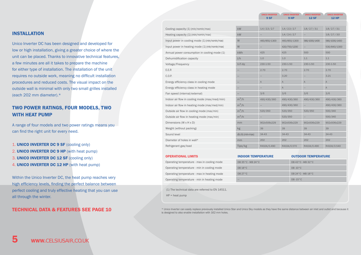### INSTALLATION

Unico Inverter DC has been designed and developed for low or high installation, giving a greater choice of where the unit can be placed. Thanks to innovative technical features, a few minutes are all it takes to prepare the machine for either type of installation. The installation of the unit requires no outside work, meaning no difficult installation procedures and reduced costs. The visual impact on the outside wall is minimal with only two small grilles installed (each 202 mm diameter).\*

### two power ratings, four models, two with heat pump

A range of four models and two power ratings means you can find the right unit for every need.

1. UNICO INVERTER DC 9 SF (cooling only) 2. UNICO INVERTER DC 9 HP (with heat pump) 3. UNICO INVERTER DC 12 SF (cooling only) 4. **UNICO INVERTER DC 12 HP** (with heat pump)

Within the Unico Inverter DC, the heat pump reaches very high efficiency levels, finding the perfect balance between perfect cooling and truly effective heating that you can use all through the winter.

| Cooling capacity (1) (min/nomin/max)            | kW               | 1.4 / 2.3 / 2.7 | 1.4 / 2.3 / 2.7 | 1.8 / 2.7 / 3.1          | 1.8 / 2.7 / 3.1 |
|-------------------------------------------------|------------------|-----------------|-----------------|--------------------------|-----------------|
| Heating capacity (1) (min/nomin/max)            | kW               |                 | 1.4 / 2.4 / 2.7 | $\overline{\phantom{0}}$ | 1.8 / 2.7 / 3.0 |
| Input power in cooling mode (1) (min/nomin/max) | W                | 460/850/1300    | 460/850/1300    | 580/1000/1400            | 580/1000/1400   |
| Input power in heating mode (1) (min/nomin/max) | W                |                 | 420/750/1200    |                          | 530/840/1300    |
| Annual power consumption in cooling mode (1)    | kWh              | 425             | 425             | 500                      | 500             |
| Dehumidification capacity                       | I/h              | 1.0             | 1.0             | 1.1                      | 1.1             |
| Voltage/Frequency                               | $V-F-Hz$         | 230-1-50        | 230-1-50        | 230-1-50                 | 230-1-50        |
| E.E.R                                           |                  | 2.70            | 2.70            | 2.70                     | 2.70            |
| C.O.P.                                          |                  |                 | 3.20            |                          | 3.21            |
| Energy efficiency class in cooling mode         |                  | $\overline{A}$  | A               | $\overline{A}$           | $\mathsf A$     |
| Energy efficiency class in heating mode         |                  |                 | $\overline{A}$  |                          | $\overline{A}$  |
| Fan speed (internal/external)                   |                  | 3/6             | 3/6             | 3/6                      | 3/6             |
| Indoor air flow in cooling mode (max/med/min)   | $m^3/h$          | 490/430/360     | 490/430/360     | 490/430/360              | 490/430/360     |
| Indoor air flow in heating mode (max/med/min)   | $m^3/h$          |                 | 490/430/360     |                          | 490/430/360     |
| Outside air flow in cooling mode (max/min)      | $m^3/h$          | 520/350         | 520/350         | 520/350                  | 500/340         |
| Outside air flow in heating mode (max/min)      | $m^3/h$          |                 | 520/350         |                          | 500/340         |
| Dimensions (W x H x D)                          | mm               | 902x506x229     | 902x506x229     | 902x506x229              | 902x506x229     |
| Weight (without packing)                        | kg               | 39              | 39              | 39                       | 39              |
| Sound level                                     | db (A) (min-max) | $34 - 43$       | 34-43           | 34-43                    | $34-43$         |
| Diameter of holes in wall*                      | mm               | 202             | 202             | 202                      | 202             |
| Refrigerant gas/load                            | Tipo/kg          | R410A/0.490     | R410A/0.570     | R410A/0.490              | R410A/0.540     |
|                                                 |                  |                 |                 |                          |                 |

UNICO INVERTER UNICO INVERTER UNICO INVERTER

9 HP

12 SF

**UNICO INVERTER** 12 HP

9 SF

| <b>OPERATIONAL LIMITS</b>                   | <b>INDOOR TEMPERATURE</b> | <b>OUTDOOR TEMPERATURE</b> |
|---------------------------------------------|---------------------------|----------------------------|
| Operating temperature - max in cooling mode | DB 35 °C - WB 24 °C       | DB 43°C - WB 32°C          |
| Operating temperature - min in cooling mode | $DB 18^{\circ}C$          | $DB - 10^{\circ}C$         |
| Operating temperature - max in heating mode | DB 27 °C                  | DB 24 °C - WB 18 °C        |
| Operating temperature - min in heating mode | $\overline{\phantom{a}}$  | $DB - 15^{\circ}C$         |

(1) The technical data are referred to EN 14511.

 $HP = heat$  pump

TECHNICAL DATA & FEATURES SEE PAGE 10 \* Unico Inverter can easily replace previously installed Unico Star and Unico Sky models as they have the same distance between air inlet and outlet and because it is designed to also enable installation with 162 mm holes.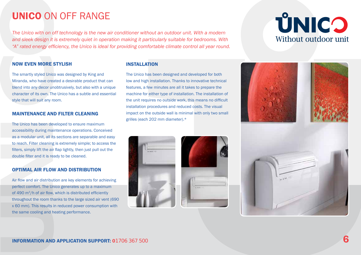*The Unico with on off technology is the new air conditioner without an outdoor unit. With a modern and sleek design it is extremely quiet in operation making it particularly suitable for bedrooms. With "A" rated energy efficiency, the Unico is ideal for providing comfortable climate control all year round.*

# **ÚNICO** Without outdoor unit

### NOW EVEN MORE STYLISH

The smartly styled Unico was designed by King and Miranda, who have created a desirable product that can blend into any decor unobtrusively, but also with a unique character of its own. The Unico has a subtle and essential style that will suit any room.

### MAINTENANCE AND FILTER CLEANING

**UNICO** ON OFF RANGE<br>
The Unico with on off technology is the new air<br>
and sleek design it is extremely quiet in operat<br>
"A" rated energy efficiency, the Unico is ideal for<br>
NOW EVEN MORE STYLISH<br>
The smartly styled Unico The Unico has been developed to ensure maximum accessibility during maintenance operations. Conceived as a modular unit, all its sections are separable and easy to reach. Filter cleaning is extremely simple; to access the filters, simply lift the air flap lightly, then just pull out the double filter and it is ready to be cleaned.

### OPTIMAL AIR FLOW AND DISTRIBUTION

Air flow and air distribution are key elements for achieving perfect comfort. The Unico generates up to a maximum of 490 m<sup>3</sup>/h of air flow, which is distributed efficiently throughout the room thanks to the large sized air vent (690 x 60 mm). This results in reduced power consumption with the same cooling and heating performance.

### INSTALLATION

The Unico has been designed and developed for both low and high installation. Thanks to innovative technical features, a few minutes are all it takes to prepare the machine for either type of installation. The installation of the unit requires no outside work, this means no difficult installation procedures and reduced costs. The visual impact on the outside wall is minimal with only two small grilles (each 202 mm diameter).\*





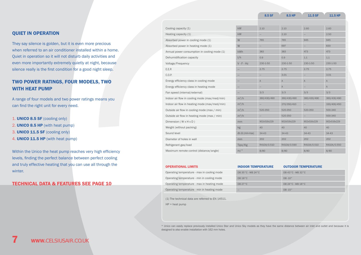8.5 HP

### 8.5 SF 8.5 HP 11.5 SF 11.5 HP

### quiet in operation

They say silence is golden, but it is even more precious when referred to an air conditioner installed within a home. Quiet in operation so it will not disturb daily activities and even more importantly extremely quietly at night, because silence really is the first condition for a good night sleep.

### TWO POWER RATINGS, FOUR MODELS, TWO WITH HEAT PUMP

A range of four models and two power ratings means you can find the right unit for every need.

1. UNICO 8.5 SF (cooling only) 2. UNICO 8.5 HP (with heat pump) 3. UNICO 11.5 SF (cooling only) 4. **UNICO 11.5 HP** (with heat pump)

Within the Unico the heat pump reaches very high efficiency levels, finding the perfect balance between perfect cooling and truly effective heating that you can use all through the winter.

### technical data & FEATURES see page 10

| Cooling capacity (1)                          | kW               | 2.10                             | 2.10                   | 2.60                         | 2.60                              |
|-----------------------------------------------|------------------|----------------------------------|------------------------|------------------------------|-----------------------------------|
|                                               | kW               |                                  | 2.10                   |                              | 2.50                              |
| Heating capacity (1)                          |                  |                                  |                        |                              |                                   |
| Absorbed power in cooling mode (1)            | W                | 765                              | 765                    | 945                          | 945                               |
| Absorbed power in heating mode (1)            | W                |                                  | 697                    | $\qquad \qquad -$            | 830                               |
| Annual power consumption in cooling mode (1)  | kWh              | 383                              | 383                    | 473                          | 473                               |
| Dehumidification capacity                     | I/h              | 0.9                              | 0.9                    | 1.1                          | 1.1                               |
| Voltage/Frequency                             | $V - F - Hz$     | 230-1-50                         | 230-1-50               | 230-1-50                     | $230 - 1 - 50$                    |
| E.E.R                                         |                  | 2.75                             | 2.75                   | 2.75                         | 2,75                              |
| C.O.P.                                        |                  | 3.01<br>$\overline{\phantom{0}}$ |                        | -                            | 3.01                              |
| Energy efficiency class in cooling mode       |                  | $\overline{A}$                   | $\mathsf{A}$           | $\mathsf{A}$                 | A                                 |
| Energy efficiency class in heating mode       |                  | -                                | $\mathsf{A}$           | $\overline{\phantom{0}}$     | A                                 |
| Fan speed (internal/external)                 |                  | 3/3                              | 3/3                    | 3/3                          | 3/3                               |
| Indoor air flow in cooling mode (max/med/min) | $m^3/h$          | 360/430/490                      | 360/430/490            | 360/430/490                  | 360/430/490                       |
| Indoor air flow in heating mode (max/med/min) | $m^3/h$          | -                                | 270/350/410            | -                            | 330/400/450                       |
| Outside air flow in cooling mode (max / min)  | $m^3/h$          | 520-350                          | 520-350                | 520-350<br>902x516x229<br>40 | 500-340<br>500-340<br>902x516x229 |
| Outside air flow in heating mode (max / min)  | $m^3/h$          |                                  | 520-350<br>902x516x229 |                              |                                   |
| Dimension (W x H x D)                         | mm               | 902x516x229                      |                        |                              |                                   |
| Weight (without packing)                      | kg               | 40                               | 40                     |                              | 40                                |
| Sound level                                   | db (A) (min-max) | $34 - 43$                        | 34-43                  | 34-43                        | 34-43                             |
| Diameter of holes in wall                     | mm               | 202                              | 202                    | 202                          | 202                               |
| Refrigerant gas/load                          | Tipo/Kg          | R410A/0.510                      | R410A/0.590            | R410A/0.510                  | R410A/0.550                       |
| Maximum remote control (distance/angle)       | m/°              | 8/80                             | 8/80                   | 8/80                         | 8/80                              |

### OPERATIONAL LIMITS **INDOOR TEMPERATURE OUTDOOR TEMPERATURE**

| Operating temperature - max in cooling mode | DB 35 °C - WB 24 °C | DB 43°C - WB 32°C   |
|---------------------------------------------|---------------------|---------------------|
| Operating temperature - min in cooling mode | DB 18°C             | $DB - 10^\circ$     |
| Operating temperature - max in heating mode | DB 27 °C            | DB 24 °C - WB 18 °C |
| Operating temperature - min in heating mode |                     | $DB - 15°$          |

(1) The technical data are referred to EN 14511.

 $HP = heat$  pump

\* Unico can easily replace previously installed Unico Star and Unico Sky models as they have the same distance between air inlet and outlet and because it is designed to also enable installation with 162 mm holes.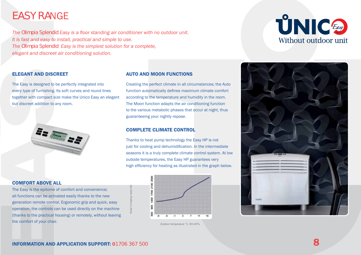# EASY RAnge

*The Olimpia Splendid Easy is a floor standing air conditioner with no outdoor unit. It is fast and easy to install, practical and simple to use. The Olimpia Splendid Easy is the simplest solution for a complete, elegant and discreet air conditioning solution.*

### ELEGANT AND DISCREET

The Easy is designed to be perfectly integrated into every type of furnishing. Its soft curves and round lines together with compact size make the Unico Easy an elegant but discreet addition to any room.



### COMFORT ABOVE ALL

The Easy is the epitome of comfort and convenience; all functions can be activated easily thanks to the new generation remote control. Ergonomic grip and quick, easy operation, the controls can be used directly on the machine (thanks to the practical housing) or remotely, without leaving the comfort of your chair. The Easy is the epitome of comfort and convenience;<br>
all functions can be activated easily thanks to the new<br>
generation remote control. Ergonomic grip and quick, easy<br>
operation, the conforts can be used directly on the m

### AUTO AND MOON FUNCTIONS

Creating the perfect climate in all circumstances; the Auto function automatically defines maximum climate comfort according to the temperature and humidity in the room. The Moon function adapts the air conditioning function to the various metabolic phases that occur at night, thus guaranteeing your nightly repose.

### complete climate control

Power in heating mode [W]

Thanks to heat pump technology the Easy HP is not just for cooling and dehumidification. In the intermediate seasons it is a truly complete climate control system. At low outside temperatures, the Easy HP guarantees very high efficiency for heating as illustrated in the graph below.



Outdoor temperature °C, RH=87%



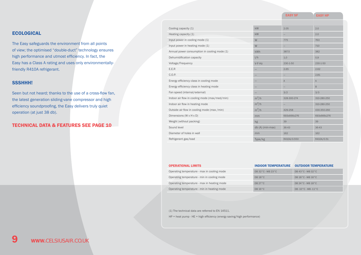EASY SF EASY HP

### **ECOLOGICAL**

The Easy safeguards the environment from all points of view; the optimised "double-duct" technology ensures high performance and utmost efficiency. In fact, the Easy has a Class A rating and uses only environmentallyfriendly R410A refrigerant.

### SSSHHH!

Seen but not heard; thanks to the use of a cross-flow fan, the latest generation sliding-vane compressor and high efficiency soundproofing, the Easy delivers truly quiet operation (at just 38 db).

### technical data & FEATURES see page 10

| Cooling capacity (1)                          | kW               | 2.05           | 2.0            |
|-----------------------------------------------|------------------|----------------|----------------|
| Heating capacity (1)                          | kW               |                | 2.0            |
| Input power in cooling mode (1)               | W                | 775            | 763            |
| Input power in heating mode (1)               | W                |                | 710            |
| Annual power consumption in cooling mode (1)  | kWh              | 387.5          | 382            |
| Dehumidification capacity                     | I/h              | 1.0            | 0.9            |
| Voltage/Frequency                             | $V-F-Hz$         | 230-1-50       | 230-1-50       |
| E.E.R                                         |                  | 2.65           | 2.62           |
| C.O.P.                                        |                  |                | 2,81           |
| Energy efficiency class in cooling mode       |                  | $\overline{A}$ | $\overline{A}$ |
| Energy efficiency class in heating mode       |                  |                | B              |
| Fan speed (internal/external)                 |                  | 3/2            | 3/3            |
| Indoor air flow in cooling mode (max/med/min) | $m^3/h$          | 328-300-274    | 310-280-250    |
| Indoor air flow in heating mode               | $m^3/h$          |                | 310-280-250    |
| Outside air flow in cooling mode (max /min)   | $m^3/h$          | 429-258        | 430-350-260    |
| Dimensions (W x H x D)                        | mm               | 693x666x276    | 693x666x276    |
| Weight (without packing)                      | kg               | 39             | 39             |
| Sound level                                   | db (A) (min-max) | 36-43          | 36-43          |
| Diameter of holes in wall                     | mm               | 162            | 162            |
| Refrigerant gas/load                          | Type/kg          | R410A/0.550    | R410A/0.51     |

| <b>OPERATIONAL LIMITS</b>                   |                       | INDOOR TEMPERATURE OUTDOOR TEMPERATURE |  |  |
|---------------------------------------------|-----------------------|----------------------------------------|--|--|
| Operating temperature - max in cooling mode | DB 32 ° C - WB 23 ° C | DB 43 °C - WB 32 °C                    |  |  |
| Operating temperature - min in cooling mode | DB 18°C               | DB $18^{\circ}$ C - WB $16^{\circ}$ C  |  |  |
| Operating temperature - max in heating mode | DB $27^{\circ}$ C     | DB 24 ° C - WB 18 ° C                  |  |  |
| Operating temperature - min in heating mode | $DB 16^{\circ}C$      | $DB - 10^{\circ}C - WB - 11^{\circ}C$  |  |  |

(1) The technical data are referred to EN 14511.

HP = heat pump - HE = high efficiency (energy saving/high performance)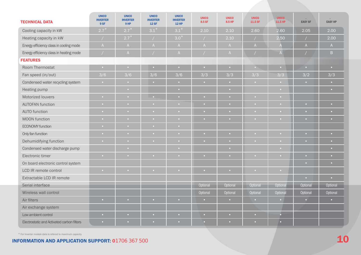| <b>TECHNICAL DATA</b>                      | <b>UNICO</b><br><b>INVERTER</b><br>9 SF | <b>UNICO</b><br><b>INVERTER</b><br>9HP | <b>UNICO</b><br><b>INVERTER</b><br>12 SF | <b>UNICO</b><br><b>INVERTER</b><br><b>12 HP</b> | <b>UNICO</b><br>8.5 SF   | <b>UNICO</b><br>8.5 HP | <b>UNICO</b><br>11.5 SF | <b>UNICO</b><br>11.5 HP  | <b>EASY SF</b>           | <b>EASY HP</b> |
|--------------------------------------------|-----------------------------------------|----------------------------------------|------------------------------------------|-------------------------------------------------|--------------------------|------------------------|-------------------------|--------------------------|--------------------------|----------------|
| Cooling capacity in kW                     | $2.7^{\degree}$                         | $2.7^{\circ}$                          | $3.1^*$                                  | $3.1*$                                          | 2.10                     | 2.10                   | 2.60                    | 2.60                     | 2.05                     | 2.00           |
| Heating capacity in kW                     | $\sqrt{2}$                              | $2.7^{\circ}$                          | $\frac{1}{2}$                            | $3.0^{\circ}$                                   | $\sqrt{2}$               | 2.10                   |                         | 2.50                     | $\overline{\phantom{a}}$ | 2.00           |
| Energy efficiency class in cooling mode    | $\mathsf{A}$                            | A                                      | $\mathsf{A}$                             | $\mathsf{A}$                                    | $\mathsf{A}$             | $\mathsf{A}$           | $\mathsf{A}$            | $\overline{A}$           | $\mathsf{A}$             | A              |
| Energy efficiency class in heating mode    |                                         | $\mathsf{A}$                           | $\sqrt{2}$                               | $\mathsf{A}$                                    | $\sqrt{2}$               | $\mathsf{A}$           |                         | $\overline{A}$           |                          | $\overline{B}$ |
| <b>FEATURES</b>                            |                                         |                                        |                                          |                                                 |                          |                        |                         |                          |                          |                |
| Room Thermostat                            | $\bullet$                               | o                                      | $\overline{\mathbf{C}}$                  | $\bullet$                                       | $\mathbf{C}$             | $\bullet$              | o.                      | <b>D</b>                 | o                        | $\bullet$      |
| Fan speed (in/out)                         | 3/6                                     | 3/6                                    | 3/6                                      | 3/6                                             | 3/3                      | 3/3                    | 3/3                     | 3/3                      | 3/2                      | 3/3            |
| Condensed water recycling system           | $\bullet$                               | $\bullet$                              | $\bullet$                                | $\bullet$                                       | $\bullet$                | $\bullet$              | $\bullet$               | $\bullet$                | $\overline{\phantom{a}}$ | $\bullet$      |
| Heating pump                               |                                         |                                        |                                          | $\overline{\mathbf{C}}$                         |                          | o.                     |                         |                          |                          | o.             |
| Motorized louvers                          | $\bullet$                               | $\bullet$                              | $\overline{\phantom{a}}$                 | $\bullet$                                       | $\bullet$                | $\bullet$              | $\overline{a}$          | $\overline{\phantom{a}}$ |                          |                |
| <b>AUTOFAN function</b>                    | $\bullet$                               | $\overline{\mathbf{C}}$                | $\bullet$                                | $\bullet$                                       | $\bullet$                | $\bullet$              |                         |                          | ō                        | $\bullet$      |
| <b>AUTO function</b>                       | $\bullet$                               | n                                      | $\overline{\mathbf{C}}$                  | $\overline{\mathbf{C}}$                         | o.                       |                        |                         |                          | n                        | $\bullet$      |
| <b>MOON</b> function                       | $\bullet$                               | $\mathbf{C}$                           | $\overline{\mathbf{C}}$                  | $\bullet$                                       | $\mathbf{C}$             | $\mathbf{C}$           |                         | $\overline{\phantom{a}}$ | о                        | $\bullet$      |
| <b>ECONOMY</b> function                    | $\bullet$                               | n                                      | $\bullet$                                | $\bullet$                                       |                          |                        |                         |                          |                          |                |
| Only fan function                          | $\bullet$ .                             | <b>COL</b>                             | $\overline{\phantom{a}}$                 | $\bullet$                                       | $\mathbf{C}$             | $\bullet$              |                         | <b>CO</b>                | $\overline{\phantom{a}}$ | $\bullet$      |
| Dehumidifying function                     |                                         |                                        | $\bullet$                                | $\bullet$                                       | n.                       | n.                     |                         |                          | n                        | $\bullet$      |
| Condensed water discharge pump             |                                         | $\bullet$                              |                                          | $\bullet$                                       |                          | $\bullet$              |                         | <b>CO</b>                |                          | o.             |
| Electronic timer                           | $\bullet$                               |                                        | $\bullet$                                | $\bullet$                                       | $\bullet$                | $\bullet$              |                         | $\overline{\phantom{a}}$ | ō                        | o.             |
| On board electronic control system         |                                         |                                        |                                          |                                                 |                          |                        |                         |                          |                          | $\bullet$      |
| LCD IR remote control                      | $\bullet$ .                             | $\overline{a}$                         | $\bullet$                                | $\bullet$                                       | $\mathbf{C}$             | $\mathbf{C}$           | $\overline{a}$          | $\overline{\phantom{a}}$ |                          |                |
| Extractable LCD IR remote                  |                                         |                                        |                                          |                                                 |                          |                        |                         |                          |                          |                |
| Serial interface                           |                                         |                                        |                                          |                                                 | Optional                 | Optional               | Optional                | Optional                 | Optional                 | Optional       |
| Wireless wall control                      |                                         |                                        |                                          |                                                 | Optional                 | Optional               | Optional                | Optional                 | Optional                 | Optional       |
| Air filters                                | $\bullet$                               | $\bullet$                              | $\bullet$                                | $\bullet$                                       | $\bullet$                | $\bullet$              | $\bullet$               | $\bullet$                | $\bullet$                | $\bullet$      |
| Air exchange system                        |                                         |                                        |                                          |                                                 |                          |                        |                         |                          |                          |                |
| Low ambient control                        | o                                       |                                        | o                                        | ö                                               | $\overline{\phantom{a}}$ | n                      |                         | o                        |                          |                |
| Electrostatic and Activated carbon filters | $\bullet$                               |                                        |                                          | n                                               | o                        |                        |                         | $\bullet$                |                          |                |